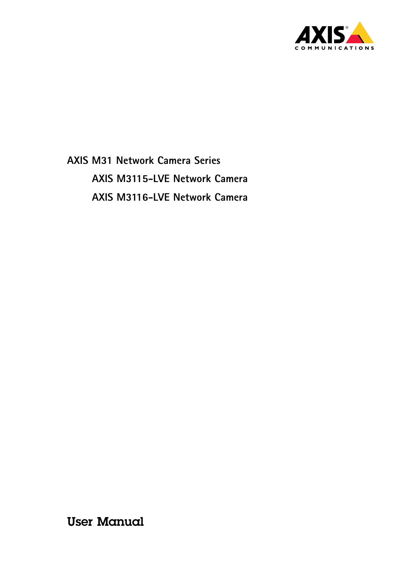

**AXIS M31 Network Camera Series AXIS M3115-LVE Network Camera AXIS M3116-LVE Network Camera**

User Manual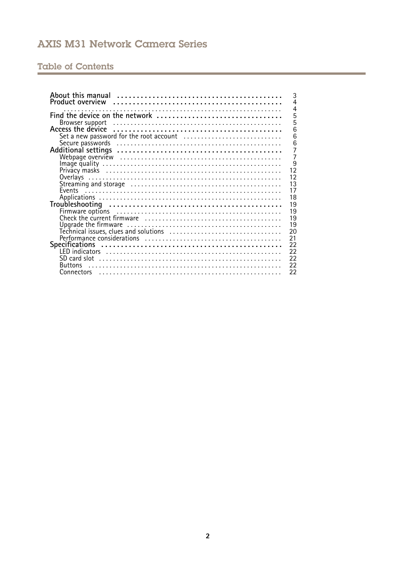# Table of Contents

| 3<br>$\overline{4}$<br>$\overline{4}$                                                                        |
|--------------------------------------------------------------------------------------------------------------|
| 5<br>Find the device on the network                                                                          |
| 5                                                                                                            |
| 6                                                                                                            |
| 6                                                                                                            |
| 6                                                                                                            |
| $\overline{7}$                                                                                               |
| $\overline{7}$                                                                                               |
| $\overline{9}$                                                                                               |
| $1\overline{2}$                                                                                              |
| 12                                                                                                           |
| $1\overline{3}$                                                                                              |
| 17                                                                                                           |
| 18                                                                                                           |
|                                                                                                              |
| 19                                                                                                           |
| 19                                                                                                           |
| 19                                                                                                           |
| 19                                                                                                           |
| 20<br>Technical issues, clues and solutions $\ldots, \ldots, \ldots, \ldots, \ldots, \ldots, \ldots, \ldots$ |
| 21                                                                                                           |
| 22                                                                                                           |
| 22                                                                                                           |
| 22                                                                                                           |
| 22<br><b>Buttons</b>                                                                                         |
| 22                                                                                                           |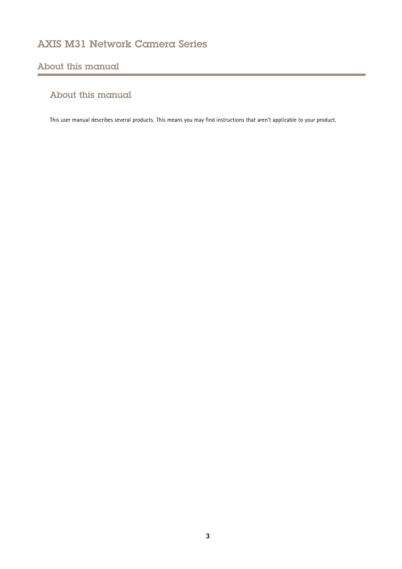## <span id="page-2-0"></span>About this manual

## About this manual

This user manual describes several products. This means you may find instructions that aren't applicable to your product.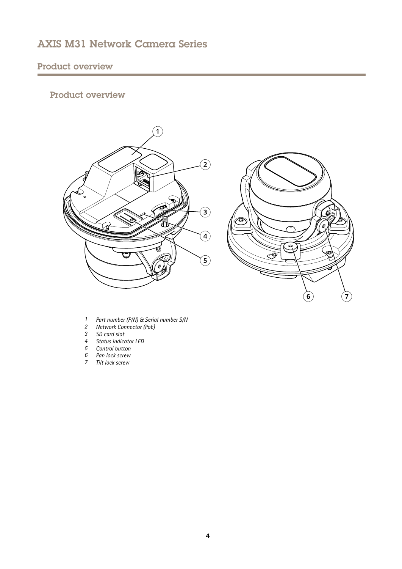# <span id="page-3-0"></span>Product overview

## Product overview





- *<sup>1</sup> Part number (P/N) & Serial number S/N*
- *2 Network Connector (PoE)*
- *3 SD card slot*
- *4 Status indicator LED*
- *5 Control button*
- *6 Pan lock screw*
- *7 Tilt lock screw*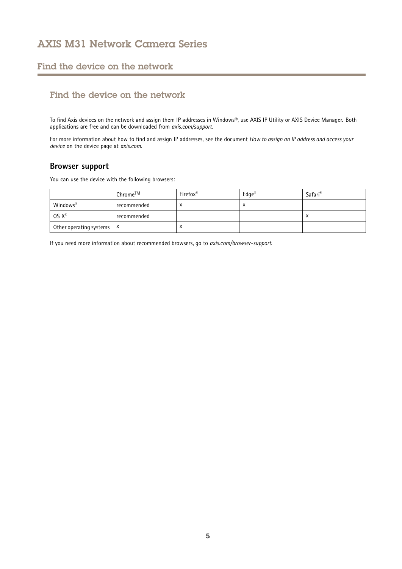### <span id="page-4-0"></span>Find the device on the network

## Find the device on the network

To find Axis devices on the network and assign them IP addresses in Windows®, use AXIS IP Utility or AXIS Device Manager. Both applications are free and can be downloaded from *[axis.com/support](https://www.axis.com/support)*.

For more information about how to find and assign IP addresses, see the document *How to assign an IP address and access your device* on the device page at *[axis.com](https://www.axis.com)*.

### **Browser support**

You can use the device with the following browsers:

|                                      | Chrome™     | <b>Firefox</b> <sup>®</sup> | $\mathsf{Edge}^\circledast$ | Safari®   |
|--------------------------------------|-------------|-----------------------------|-----------------------------|-----------|
| Windows®                             | recommended |                             | $\checkmark$<br>$\lambda$   |           |
| $OS X^*$                             | recommended |                             |                             | $\lambda$ |
| Other operating systems $\mathbf{x}$ |             | ⌒                           |                             |           |

If you need more information about recommended browsers, go to *[axis.com/browser-support](https://www.axis.com/browser-support)*.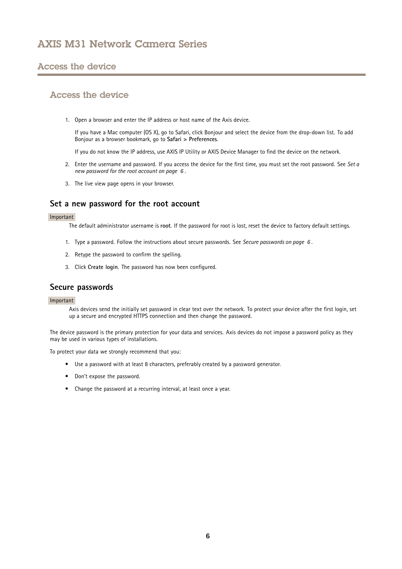### <span id="page-5-0"></span>Access the device

### Access the device

1. Open <sup>a</sup> browser and enter the IP address or host name of the Axis device.

If you have <sup>a</sup> Mac computer (OS X), go to Safari, click Bonjour and select the device from the drop-down list. To add Bonjour as <sup>a</sup> browser bookmark, go to **Safari <sup>&</sup>gt; Preferences**.

If you do not know the IP address, use AXIS IP Utility or AXIS Device Manager to find the device on the network.

- 2. Enter the username and password. If you access the device for the first time, you must set the root password. See *Set <sup>a</sup> new password for the root account on page 6* .
- 3. The live view page opens in your browser.

### **Set <sup>a</sup> new password for the root account**

#### Important

The default administrator username is **root**. If the password for root is lost, reset the device to factory default settings.

- 1. Type <sup>a</sup> password. Follow the instructions about secure passwords. See *Secure passwords on page 6* .
- 2. Retype the password to confirm the spelling.
- 3. Click **Create login**. The password has now been configured.

### **Secure passwords**

#### Important

Axis devices send the initially set password in clear text over the network. To protect your device after the first login, set up <sup>a</sup> secure and encrypted HTTPS connection and then change the password.

The device password is the primary protection for your data and services. Axis devices do not impose <sup>a</sup> password policy as they may be used in various types of installations.

To protect your data we strongly recommend that you:

- Use <sup>a</sup> password with at least 8 characters, preferably created by <sup>a</sup> password generator.
- Don't expose the password.
- Change the password at <sup>a</sup> recurring interval, at least once <sup>a</sup> year.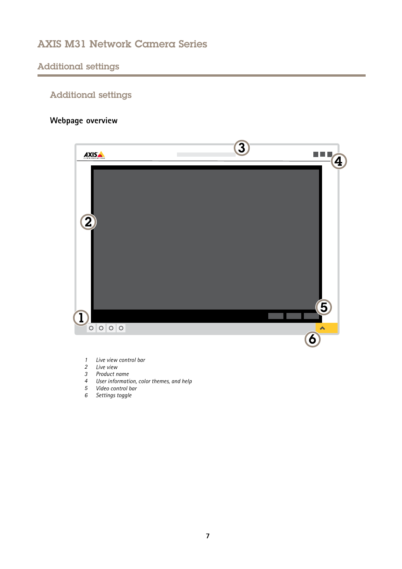## <span id="page-6-0"></span>Additional settings

# Additional settings

# **Webpage overview**



- *1 Live view control bar*
- *2 Live view*
- *3 Product name*
- *<sup>4</sup> User information, color themes, and help*
- *5 Video control bar*
- *6 Settings toggle*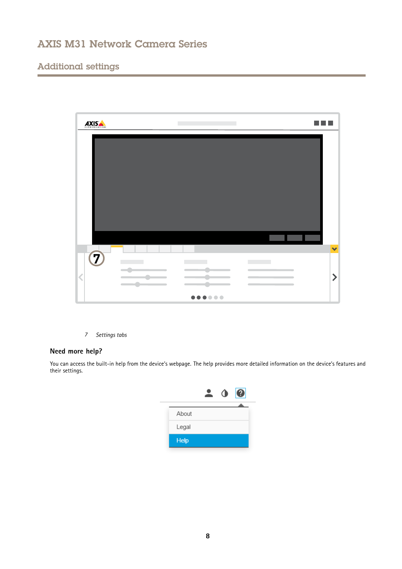## Additional settings



*7 Settings tabs*

### **Need more help?**

You can access the built-in help from the device's webpage. The help provides more detailed information on the device's features and their settings.

|             | $\bullet$ | 0 |
|-------------|-----------|---|
|             |           |   |
| About       |           |   |
| Legal       |           |   |
| <b>Help</b> |           |   |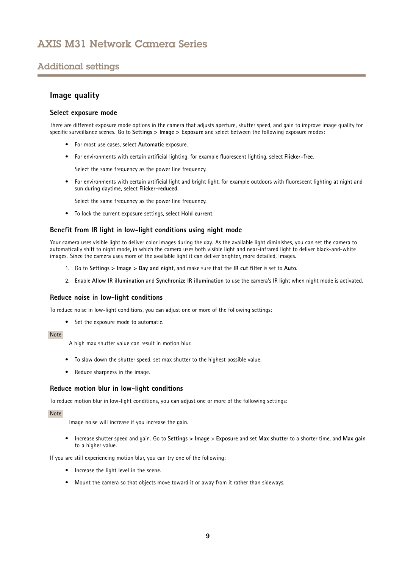## <span id="page-8-0"></span>Additional settings

### **Image quality**

#### **Select exposure mode**

There are different exposure mode options in the camera that adjusts aperture, shutter speed, and gain to improve image quality for specific surveillance scenes. Go to **Settings <sup>&</sup>gt; Image <sup>&</sup>gt; Exposure** and select between the following exposure modes:

- For most use cases, select **Automatic** exposure.
- For environments with certain artificial lighting, for example fluorescent lighting, select **Flicker-free**.

Select the same frequency as the power line frequency.

• For environments with certain artificial light and bright light, for example outdoors with fluorescent lighting at night and sun during daytime, select **Flicker-reduced**.

Select the same frequency as the power line frequency.

• To lock the current exposure settings, select **Hold current**.

#### **Benefit from IR light in low-light conditions using night mode**

Your camera uses visible light to deliver color images during the day. As the available light diminishes, you can set the camera to automatically shift to night mode, in which the camera uses both visible light and near-infrared light to deliver black-and-white images. Since the camera uses more of the available light it can deliver brighter, more detailed, images.

- 1. Go to **Settings <sup>&</sup>gt; Image <sup>&</sup>gt; Day and night**, and make sure that the **IR cut filter** is set to **Auto**.
- 2. Enable **Allow IR illumination** and **Synchronize IR illumination** to use the camera's IR light when night mode is activated.

#### **Reduce noise in low-light conditions**

To reduce noise in low-light conditions, you can adjust one or more of the following settings:

• Set the exposure mode to automatic.

#### Note

A high max shutter value can result in motion blur.

- To slow down the shutter speed, set max shutter to the highest possible value.
- Reduce sharpness in the image.

#### **Reduce motion blur in low-light conditions**

To reduce motion blur in low-light conditions, you can adjust one or more of the following settings:

#### Note

Image noise will increase if you increase the gain.

• Increase shutter speed and gain. Go to **Settings <sup>&</sup>gt; Image** <sup>&</sup>gt; **Exposure** and set **Max shutter** to <sup>a</sup> shorter time, and **Max gain** to <sup>a</sup> higher value.

If you are still experiencing motion blur, you can try one of the following:

- Increase the light level in the scene.
- Mount the camera so that objects move toward it or away from it rather than sideways.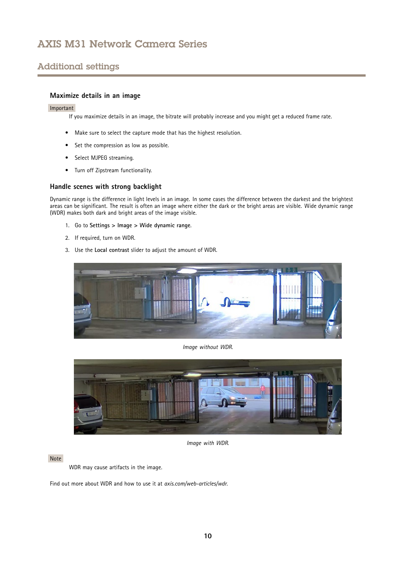## Additional settings

### **Maximize details in an image**

#### Important

If you maximize details in an image, the bitrate will probably increase and you might get <sup>a</sup> reduced frame rate.

- Make sure to select the capture mode that has the highest resolution.
- •Set the compression as low as possible.
- •Select MJPEG streaming.
- Turn off Zipstream functionality.

### **Handle scenes with strong backlight**

Dynamic range is the difference in light levels in an image. In some cases the difference between the darkest and the brightest areas can be significant. The result is often an image where either the dark or the bright areas are visible. Wide dynamic range (WDR) makes both dark and bright areas of the image visible.

- 1. Go to **Settings <sup>&</sup>gt; Image <sup>&</sup>gt; Wide dynamic range**.
- 2. If required, turn on WDR.
- 3. Use the **Local contrast** slider to adjust the amount of WDR.



*Image without WDR.*



*Image with WDR.*

#### Note

WDR may cause artifacts in the image.

Find out more about WDR and how to use it at *[axis.com/web-articles/wdr](https://www.axis.com/web-articles/wdr)*.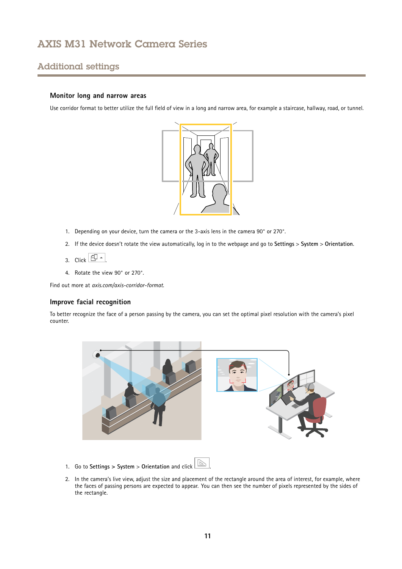## Additional settings

### **Monitor long and narrow areas**

Use corridor format to better utilize the full field of view in <sup>a</sup> long and narrow area, for example <sup>a</sup> staircase, hallway, road, or tunnel.



- 1. Depending on your device, turn the camera or the 3-axis lens in the camera 90° or 270°.
- 2. If the device doesn't rotate the view automatically, log in to the webpage and go to **Settings** <sup>&</sup>gt; **System** <sup>&</sup>gt; **Orientation**.
- 3. Click  $\boxed{\overline{CD} \sim}$
- 4. Rotate the view 90° or 270°.

Find out more at *[axis.com/axis-corridor-format](https://www.axis.com/axis-corridor-format)*.

#### **Improve facial recognition**

To better recognize the face of <sup>a</sup> person passing by the camera, you can set the optimal pixel resolution with the camera's pixel counter.



- 1. Go to **Settings <sup>&</sup>gt; System** <sup>&</sup>gt; **Orientation** and click .
- 2. In the camera's live view, adjust the size and placement of the rectangle around the area of interest, for example, where the faces of passing persons are expected to appear. You can then see the number of pixels represented by the sides of the rectangle.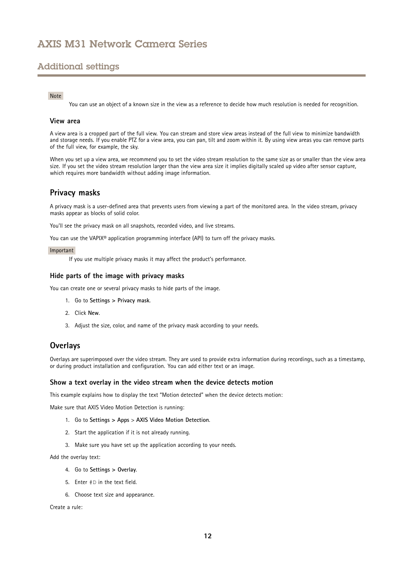## <span id="page-11-0"></span>Additional settings

#### Note

You can use an object of <sup>a</sup> known size in the view as <sup>a</sup> reference to decide how much resolution is needed for recognition.

#### **View area**

A view area is <sup>a</sup> cropped part of the full view. You can stream and store view areas instead of the full view to minimize bandwidth and storage needs. If you enable PTZ for <sup>a</sup> view area, you can pan, tilt and zoom within it. By using view areas you can remove parts of the full view, for example, the sky.

When you set up <sup>a</sup> view area, we recommend you to set the video stream resolution to the same size as or smaller than the view area size. If you set the video stream resolution larger than the view area size it implies digitally scaled up video after sensor capture, which requires more bandwidth without adding image information.

### **Privacy masks**

A privacy mask is <sup>a</sup> user-defined area that prevents users from viewing <sup>a</sup> part of the monitored area. In the video stream, privacy masks appear as blocks of solid color.

You'll see the privacy mask on all snapshots, recorded video, and live streams.

You can use the VAPIX® application programming interface (API) to turn off the privacy masks.

#### Important

If you use multiple privacy masks it may affect the product's performance.

#### **Hide parts of the image with privacy masks**

You can create one or several privacy masks to hide parts of the image.

- 1. Go to **Settings <sup>&</sup>gt; Privacy mask**.
- 2. Click **New**.
- 3. Adjust the size, color, and name of the privacy mask according to your needs.

### **Overlays**

Overlays are superimposed over the video stream. They are used to provide extra information during recordings, such as <sup>a</sup> timestamp, or during product installation and configuration. You can add either text or an image.

#### **Show <sup>a</sup> text overlay in the video stream when the device detects motion**

This example explains how to display the text "Motion detected" when the device detects motion:

Make sure that AXIS Video Motion Detection is running:

- 1. Go to **Settings <sup>&</sup>gt; Apps** <sup>&</sup>gt; **AXIS Video Motion Detection**.
- 2. Start the application if it is not already running.
- 3. Make sure you have set up the application according to your needs.

Add the overlay text:

- 4. Go to **Settings <sup>&</sup>gt; Overlay**.
- 5. Enter #D in the text field.
- 6. Choose text size and appearance.

Create <sup>a</sup> rule: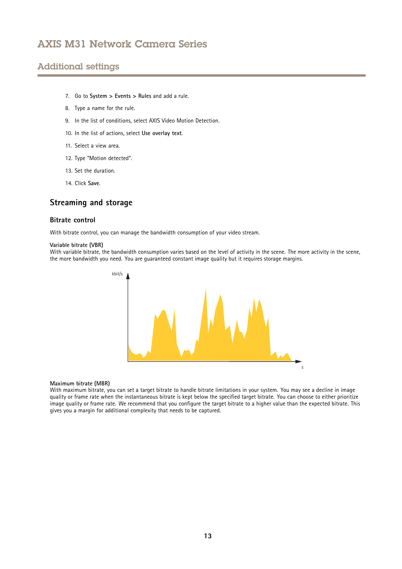## <span id="page-12-0"></span>Additional settings

- 7. Go to **System <sup>&</sup>gt; Events <sup>&</sup>gt; Rules** and add <sup>a</sup> rule.
- 8. Type <sup>a</sup> name for the rule.
- 9. In the list of conditions, select AXIS Video Motion Detection.
- 10. In the list of actions, select **Use overlay text**.
- 11. Select <sup>a</sup> view area.
- 12. Type "Motion detected".
- 13. Set the duration.
- 14. Click **Save**.

### **Streaming and storage**

#### **Bitrate control**

With bitrate control, you can manage the bandwidth consumption of your video stream.

#### **Variable bitrate (VBR)**

With variable bitrate, the bandwidth consumption varies based on the level of activity in the scene. The more activity in the scene, the more bandwidth you need. You are guaranteed constant image quality but it requires storage margins.



#### **Maximum bitrate (MBR)**

With maximum bitrate, you can set <sup>a</sup> target bitrate to handle bitrate limitations in your system. You may see <sup>a</sup> decline in image quality or frame rate when the instantaneous bitrate is kept below the specified target bitrate. You can choose to either prioritize image quality or frame rate. We recommend that you configure the target bitrate to <sup>a</sup> higher value than the expected bitrate. This gives you <sup>a</sup> margin for additional complexity that needs to be captured.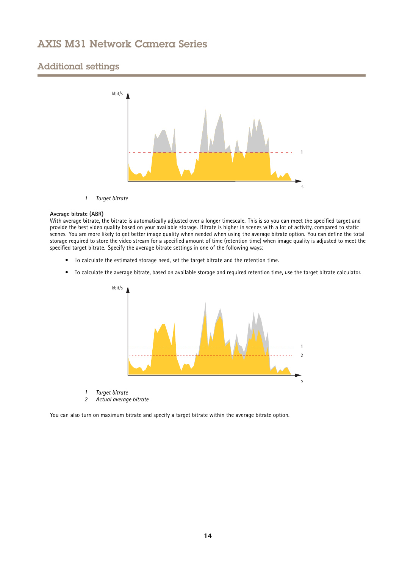## Additional settings



*1 Target bitrate*

#### **Average bitrate (ABR)**

With average bitrate, the bitrate is automatically adjusted over <sup>a</sup> longer timescale. This is so you can meet the specified target and provide the best video quality based on your available storage. Bitrate is higher in scenes with <sup>a</sup> lot of activity, compared to static scenes. You are more likely to get better image quality when needed when using the average bitrate option. You can define the total storage required to store the video stream for <sup>a</sup> specified amount of time (retention time) when image quality is adjusted to meet the specified target bitrate. Specify the average bitrate settings in one of the following ways:

- •To calculate the estimated storage need, set the target bitrate and the retention time.
- •To calculate the average bitrate, based on available storage and required retention time, use the target bitrate calculator.



- *1 Target bitrate*
- *2 Actual average bitrate*

You can also turn on maximum bitrate and specify <sup>a</sup> target bitrate within the average bitrate option.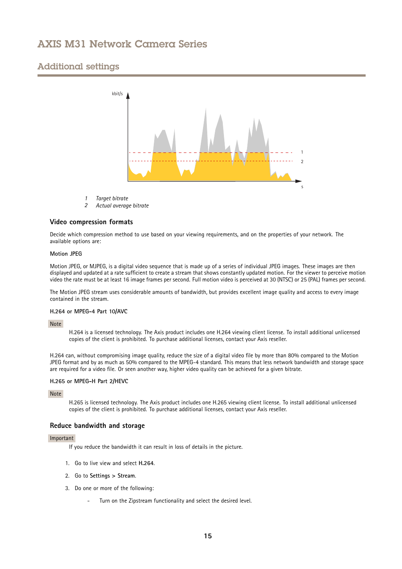## Additional settings



- *1 Target bitrate*
- *2 Actual average bitrate*

#### **Video compression formats**

Decide which compression method to use based on your viewing requirements, and on the properties of your network. The available options are:

#### **Motion JPEG**

Motion JPEG, or MJPEG, is <sup>a</sup> digital video sequence that is made up of <sup>a</sup> series of individual JPEG images. These images are then displayed and updated at <sup>a</sup> rate sufficient to create <sup>a</sup> stream that shows constantly updated motion. For the viewer to perceive motion video the rate must be at least <sup>16</sup> image frames per second. Full motion video is perceived at <sup>30</sup> (NTSC) or <sup>25</sup> (PAL) frames per second.

The Motion JPEG stream uses considerable amounts of bandwidth, but provides excellent image quality and access to every image contained in the stream.

#### **H.264 or MPEG-4 Part 10/AVC**

Note

H.264 is <sup>a</sup> licensed technology. The Axis product includes one H.264 viewing client license. To install additional unlicensed copies of the client is prohibited. To purchase additional licenses, contact your Axis reseller.

H.264 can, without compromising image quality, reduce the size of <sup>a</sup> digital video file by more than 80% compared to the Motion JPEG format and by as much as 50% compared to the MPEG-4 standard. This means that less network bandwidth and storage space are required for <sup>a</sup> video file. Or seen another way, higher video quality can be achieved for <sup>a</sup> given bitrate.

#### **H.265 or MPEG-H Part 2/HEVC**

Note

H.265 is licensed technology. The Axis product includes one H.265 viewing client license. To install additional unlicensed copies of the client is prohibited. To purchase additional licenses, contact your Axis reseller.

#### **Reduce bandwidth and storage**

#### Important

If you reduce the bandwidth it can result in loss of details in the picture.

- 1. Go to live view and select **H.264**.
- 2. Go to **Settings <sup>&</sup>gt; Stream**.
- 3. Do one or more of the following:
	- Turn on the Zipstream functionality and select the desired level.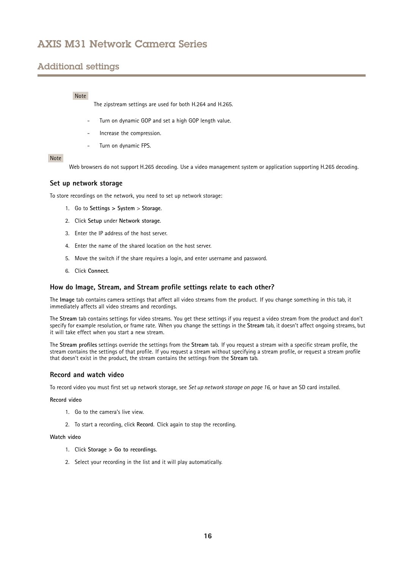## Additional settings

#### Note

The zipstream settings are used for both H.264 and H.265.

- Turn on dynamic GOP and set <sup>a</sup> high GOP length value.
- Increase the compression.
- Turn on dynamic FPS.

#### Note

Web browsers do not support H.265 decoding. Use <sup>a</sup> video management system or application supporting H.265 decoding.

### **Set up network storage**

To store recordings on the network, you need to set up network storage:

- 1. Go to **Settings <sup>&</sup>gt; System** <sup>&</sup>gt; **Storage**.
- 2. Click **Setup** under **Network storage**.
- 3. Enter the IP address of the host server.
- 4. Enter the name of the shared location on the host server.
- 5. Move the switch if the share requires <sup>a</sup> login, and enter username and password.
- 6. Click **Connect**.

#### **How do Image, Stream, and Stream profile settings relate to each other?**

The **Image** tab contains camera settings that affect all video streams from the product. If you change something in this tab, it immediately affects all video streams and recordings.

The **Stream** tab contains settings for video streams. You get these settings if you request <sup>a</sup> video stream from the product and don't specify for example resolution, or frame rate. When you change the settings in the **Stream** tab, it doesn't affect ongoing streams, but it will take effect when you start <sup>a</sup> new stream.

The **Stream profiles** settings override the settings from the **Stream** tab. If you request <sup>a</sup> stream with <sup>a</sup> specific stream profile, the stream contains the settings of that profile. If you request <sup>a</sup> stream without specifying <sup>a</sup> stream profile, or request <sup>a</sup> stream profile that doesn't exist in the product, the stream contains the settings from the **Stream** tab.

#### **Record and watch video**

To record video you must first set up network storage, see *Set up network storage on page 16*, or have an SD card installed.

#### **Record video**

- 1. Go to the camera's live view.
- 2. To start <sup>a</sup> recording, click **Record**. Click again to stop the recording.

#### **Watch video**

- 1. Click **Storage <sup>&</sup>gt; Go to recordings**.
- 2. Select your recording in the list and it will play automatically.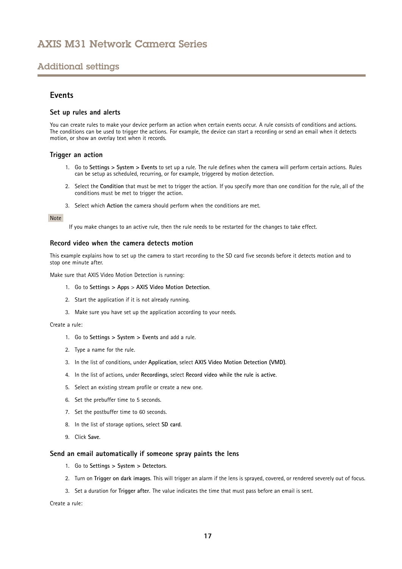### <span id="page-16-0"></span>Additional settings

### **Events**

#### **Set up rules and alerts**

You can create rules to make your device perform an action when certain events occur. A rule consists of conditions and actions. The conditions can be used to trigger the actions. For example, the device can start <sup>a</sup> recording or send an email when it detects motion, or show an overlay text when it records.

#### **Trigger an action**

- 1. Go to **Settings <sup>&</sup>gt; System <sup>&</sup>gt; Events** to set up <sup>a</sup> rule. The rule defines when the camera will perform certain actions. Rules can be setup as scheduled, recurring, or for example, triggered by motion detection.
- 2. Select the **Condition** that must be met to trigger the action. If you specify more than one condition for the rule, all of the conditions must be met to trigger the action.
- 3. Select which **Action** the camera should perform when the conditions are met.

#### Note

If you make changes to an active rule, then the rule needs to be restarted for the changes to take effect.

#### **Record video when the camera detects motion**

This example explains how to set up the camera to start recording to the SD card five seconds before it detects motion and to stop one minute after.

Make sure that AXIS Video Motion Detection is running:

- 1. Go to **Settings <sup>&</sup>gt; Apps** <sup>&</sup>gt; **AXIS Video Motion Detection**.
- 2. Start the application if it is not already running.
- 3. Make sure you have set up the application according to your needs.

Create <sup>a</sup> rule:

- 1. Go to **Settings <sup>&</sup>gt; System <sup>&</sup>gt; Events** and add <sup>a</sup> rule.
- 2. Type <sup>a</sup> name for the rule.
- 3. In the list of conditions, under **Application**, select **AXIS Video Motion Detection (VMD)**.
- 4. In the list of actions, under **Recordings**, select **Record video while the rule is active**.
- 5. Select an existing stream profile or create <sup>a</sup> new one.
- 6. Set the prebuffer time to 5 seconds.
- 7. Set the postbuffer time to 60 seconds.
- 8. In the list of storage options, select **SD card**.
- 9. Click **Save**.

#### **Send an email automatically if someone spray paints the lens**

- 1. Go to **Settings <sup>&</sup>gt; System <sup>&</sup>gt; Detectors**.
- 2. Turn on **Trigger on dark images**. This will trigger an alarm if the lens is sprayed, covered, or rendered severely out of focus.
- 3. Set <sup>a</sup> duration for **Trigger after**. The value indicates the time that must pass before an email is sent.

Create <sup>a</sup> rule: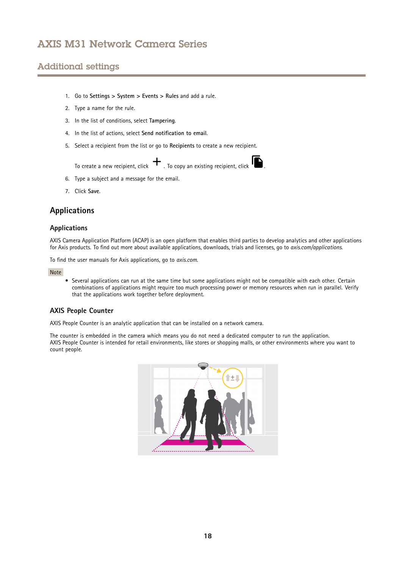## <span id="page-17-0"></span>Additional settings

- 1. Go to **Settings <sup>&</sup>gt; System <sup>&</sup>gt; Events <sup>&</sup>gt; Rules** and add <sup>a</sup> rule.
- 2. Type <sup>a</sup> name for the rule.
- 3. In the list of conditions, select **Tampering**.
- 4. In the list of actions, select **Send notification to email**.
- 5. Select <sup>a</sup> recipient from the list or go to **Recipients** to create <sup>a</sup> new recipient.

To create a new recipient, click  $\mathbf{+}$  . To copy an existing recipient, click  $\mathbf{1}$ 

- 6. Type <sup>a</sup> subject and <sup>a</sup> message for the email.
- 7. Click **Save**.

### **Applications**

### **Applications**

AXIS Camera Application Platform (ACAP) is an open platform that enables third parties to develop analytics and other applications for Axis products. To find out more about available applications, downloads, trials and licenses, go to *[axis.com/applications](https://www.axis.com/applications)*.

To find the user manuals for Axis applications, go to *[axis.com](https://www.axis.com)*.

#### Note

• Several applications can run at the same time but some applications might not be compatible with each other. Certain combinations of applications might require too much processing power or memory resources when run in parallel. Verify that the applications work together before deployment.

### **AXIS People Counter**

AXIS People Counter is an analytic application that can be installed on <sup>a</sup> network camera.

The counter is embedded in the camera which means you do not need <sup>a</sup> dedicated computer to run the application. AXIS People Counter is intended for retail environments, like stores or shopping malls, or other environments where you want to count people.

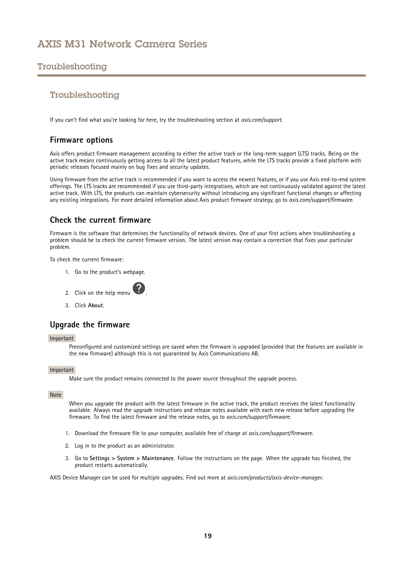## <span id="page-18-0"></span>Troubleshooting

### Troubleshooting

If you can't find what you're looking for here, try the troubleshooting section at *[axis.com/support](https://www.axis.com/support)*.

### **Firmware options**

Axis offers product firmware management according to either the active track or the long-term support (LTS) tracks. Being on the active track means continuously getting access to all the latest product features, while the LTS tracks provide <sup>a</sup> fixed platform with periodic releases focused mainly on bug fixes and security updates.

Using firmware from the active track is recommended if you want to access the newest features, or if you use Axis end-to-end system offerings. The LTS tracks are recommended if you use third-party integrations, which are not continuously validated against the latest active track. With LTS, the products can maintain cybersecurity without introducing any significant functional changes or affecting any existing integrations. For more detailed information about Axis product firmware strategy, go to *[axis.com/support/firmware](https://www.axis.com/support/firmware)*.

### **Check the current firmware**

Firmware is the software that determines the functionality of network devices. One of your first actions when troubleshooting <sup>a</sup> problem should be to check the current firmware version. The latest version may contain <sup>a</sup> correction that fixes your particular problem.

To check the current firmware:

- 1. Go to the product's webpage.
- 2. Click on the help menu .
- 3. Click **About**.

## **Upgrade the firmware**

#### Important

Preconfigured and customized settings are saved when the firmware is upgraded (provided that the features are available in the new firmware) although this is not guaranteed by Axis Communications AB.

#### Important

Make sure the product remains connected to the power source throughout the upgrade process.

#### Note

When you upgrade the product with the latest firmware in the active track, the product receives the latest functionality available. Always read the upgrade instructions and release notes available with each new release before upgrading the firmware. To find the latest firmware and the release notes, go to *[axis.com/support/firmware](https://www.axis.com/support/firmware)*.

- 1. Download the firmware file to your computer, available free of charge at *[axis.com/support/firmware](https://www.axis.com/support/firmware)*.
- 2. Log in to the product as an administrator.
- 3. Go to **Settings <sup>&</sup>gt; System <sup>&</sup>gt; Maintenance**. Follow the instructions on the page. When the upgrade has finished, the product restarts automatically.

AXIS Device Manager can be used for multiple upgrades. Find out more at *[axis.com/products/axis-device-manager](https://www.axis.com/products/axis-device-manager)*.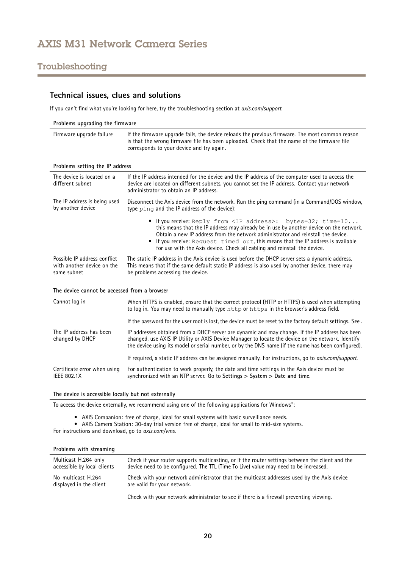## <span id="page-19-0"></span>Troubleshooting

## **Technical issues, clues and solutions**

If you can't find what you're looking for here, try the troubleshooting section at *[axis.com/support](https://www.axis.com/support)*.

| Problems upgrading the firmware                                           |                                                                                                                                                                                                                                                                                                                                                                                                                         |  |
|---------------------------------------------------------------------------|-------------------------------------------------------------------------------------------------------------------------------------------------------------------------------------------------------------------------------------------------------------------------------------------------------------------------------------------------------------------------------------------------------------------------|--|
| Firmware upgrade failure                                                  | If the firmware upgrade fails, the device reloads the previous firmware. The most common reason<br>is that the wrong firmware file has been uploaded. Check that the name of the firmware file<br>corresponds to your device and try again.                                                                                                                                                                             |  |
| Problems setting the IP address                                           |                                                                                                                                                                                                                                                                                                                                                                                                                         |  |
| The device is located on a<br>different subnet                            | If the IP address intended for the device and the IP address of the computer used to access the<br>device are located on different subnets, you cannot set the IP address. Contact your network<br>administrator to obtain an IP address.                                                                                                                                                                               |  |
| The IP address is being used<br>by another device                         | Disconnect the Axis device from the network. Run the ping command (in a Command/DOS window,<br>type ping and the IP address of the device):                                                                                                                                                                                                                                                                             |  |
|                                                                           | • If you receive: Reply from <ip address="">: bytes=32; time=10<br/>this means that the IP address may already be in use by another device on the network.<br/>Obtain a new IP address from the network administrator and reinstall the device.<br/>• If you receive: Request timed out, this means that the IP address is available<br/>for use with the Axis device. Check all cabling and reinstall the device.</ip> |  |
| Possible IP address conflict<br>with another device on the<br>same subnet | The static IP address in the Axis device is used before the DHCP server sets a dynamic address.<br>This means that if the same default static IP address is also used by another device, there may<br>be problems accessing the device.                                                                                                                                                                                 |  |
| The device cannot be accessed from a browser                              |                                                                                                                                                                                                                                                                                                                                                                                                                         |  |
| Cannot log in                                                             | When HTTPS is enabled, ensure that the correct protocol (HTTP or HTTPS) is used when attempting<br>to log in. You may need to manually type http or https in the browser's address field.                                                                                                                                                                                                                               |  |
|                                                                           | If the password for the user root is lost, the device must be reset to the factory default settings. See.                                                                                                                                                                                                                                                                                                               |  |
| The IP address has been<br>changed by DHCP                                | IP addresses obtained from a DHCP server are dynamic and may change. If the IP address has been<br>changed, use AXIS IP Utility or AXIS Device Manager to locate the device on the network. Identify<br>the device using its model or serial number, or by the DNS name (if the name has been configured).                                                                                                              |  |
|                                                                           | If required, a static IP address can be assigned manually. For instructions, go to axis.com/support.                                                                                                                                                                                                                                                                                                                    |  |
| Certificate error when using<br><b>IEEE 802.1X</b>                        | For authentication to work properly, the date and time settings in the Axis device must be<br>synchronized with an NTP server. Go to Settings > System > Date and time.                                                                                                                                                                                                                                                 |  |
| The device is accessible locally but not externally                       |                                                                                                                                                                                                                                                                                                                                                                                                                         |  |

To access the device externally, we recommend using one of the following applications for Windows® :

• AXIS Companion: free of charge, ideal for small systems with basic surveillance needs.

• AXIS Camera Station: 30-day trial version free of charge, ideal for small to mid-size systems.

For instructions and download, go to *[axis.com/vms](https://www.axis.com/vms)*.

#### **Problems with streaming**

| Multicast H.264 only                          | Check if your router supports multicasting, or if the router settings between the client and the                          |
|-----------------------------------------------|---------------------------------------------------------------------------------------------------------------------------|
| accessible by local clients                   | device need to be configured. The TTL (Time To Live) value may need to be increased.                                      |
| No multicast H.264<br>displayed in the client | Check with your network administrator that the multicast addresses used by the Axis device<br>are valid for your network. |

Check with your network administrator to see if there is <sup>a</sup> firewall preventing viewing.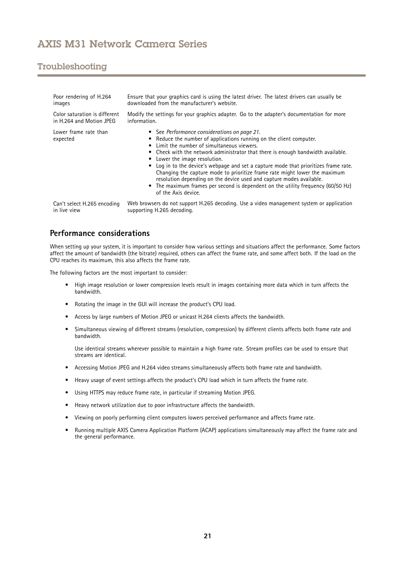## <span id="page-20-0"></span>Troubleshooting

| Poor rendering of H.264           | Ensure that your graphics card is using the latest driver. The latest drivers can usually be                                                                                                                                                                                                                                                                                                                                                                                                                                                                                                                                                 |
|-----------------------------------|----------------------------------------------------------------------------------------------------------------------------------------------------------------------------------------------------------------------------------------------------------------------------------------------------------------------------------------------------------------------------------------------------------------------------------------------------------------------------------------------------------------------------------------------------------------------------------------------------------------------------------------------|
| images                            | downloaded from the manufacturer's website.                                                                                                                                                                                                                                                                                                                                                                                                                                                                                                                                                                                                  |
| Color saturation is different     | Modify the settings for your graphics adapter. Go to the adapter's documentation for more                                                                                                                                                                                                                                                                                                                                                                                                                                                                                                                                                    |
| in H.264 and Motion JPEG          | information.                                                                                                                                                                                                                                                                                                                                                                                                                                                                                                                                                                                                                                 |
| Lower frame rate than<br>expected | • See Performance considerations on page 21.<br>• Reduce the number of applications running on the client computer.<br>• Limit the number of simultaneous viewers.<br>• Check with the network administrator that there is enough bandwidth available.<br>Lower the image resolution.<br>Log in to the device's webpage and set a capture mode that prioritizes frame rate.<br>Changing the capture mode to prioritize frame rate might lower the maximum<br>resolution depending on the device used and capture modes available.<br>• The maximum frames per second is dependent on the utility frequency (60/50 Hz)<br>of the Axis device. |
| Can't select H.265 encoding       | Web browsers do not support H.265 decoding. Use a video management system or application                                                                                                                                                                                                                                                                                                                                                                                                                                                                                                                                                     |
| in live view                      | supporting H.265 decoding.                                                                                                                                                                                                                                                                                                                                                                                                                                                                                                                                                                                                                   |

### **Performance considerations**

When setting up your system, it is important to consider how various settings and situations affect the performance. Some factors affect the amount of bandwidth (the bitrate) required, others can affect the frame rate, and some affect both. If the load on the CPU reaches its maximum, this also affects the frame rate.

The following factors are the most important to consider:

- • High image resolution or lower compression levels result in images containing more data which in turn affects the bandwidth.
- Rotating the image in the GUI will increase the product's CPU load.
- •Access by large numbers of Motion JPEG or unicast H.264 clients affects the bandwidth.
- • Simultaneous viewing of different streams (resolution, compression) by different clients affects both frame rate and bandwidth.

Use identical streams wherever possible to maintain <sup>a</sup> high frame rate. Stream profiles can be used to ensure that streams are identical.

- Accessing Motion JPEG and H.264 video streams simultaneously affects both frame rate and bandwidth.
- Heavy usage of event settings affects the product's CPU load which in turn affects the frame rate.
- •Using HTTPS may reduce frame rate, in particular if streaming Motion JPEG.
- Heavy network utilization due to poor infrastructure affects the bandwidth.
- •Viewing on poorly performing client computers lowers perceived performance and affects frame rate.
- • Running multiple AXIS Camera Application Platform (ACAP) applications simultaneously may affect the frame rate and the general performance.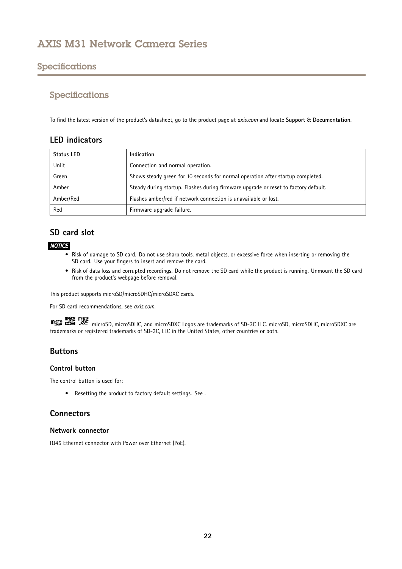## <span id="page-21-0"></span>Specifications

### Specifications

To find the latest version of the product's datasheet, go to the product page at *[axis.com](https://www.axis.com)* and locate **Support & Documentation**.

### **LED indicators**

| <b>Status LED</b> | Indication                                                                          |
|-------------------|-------------------------------------------------------------------------------------|
| Unlit             | Connection and normal operation.                                                    |
| Green             | Shows steady green for 10 seconds for normal operation after startup completed.     |
| Amber             | Steady during startup. Flashes during firmware upgrade or reset to factory default. |
| Amber/Red         | Flashes amber/red if network connection is unavailable or lost.                     |
| Red               | Firmware upgrade failure.                                                           |

## **SD card slot**

### *NOTICE*

- Risk of damage to SD card. Do not use sharp tools, metal objects, or excessive force when inserting or removing the SD card. Use your fingers to insert and remove the card.
- Risk of data loss and corrupted recordings. Do not remove the SD card while the product is running. Unmount the SD card from the product's webpage before removal.

This product supports microSD/microSDHC/microSDXC cards.

For SD card recommendations, see *[axis.com](https://www.axis.com)*.

might might many microSD, microSDHC, and microSDXC Logos are trademarks of SD-3C LLC. microSD, microSDHC, microSDXC are trademarks or registered trademarks of SD-3C, LLC in the United States, other countries or both.

## **Buttons**

### **Control button**

The control button is used for:

• Resetting the product to factory default settings. See .

### **Connectors**

#### **Network connector**

RJ45 Ethernet connector with Power over Ethernet (PoE).